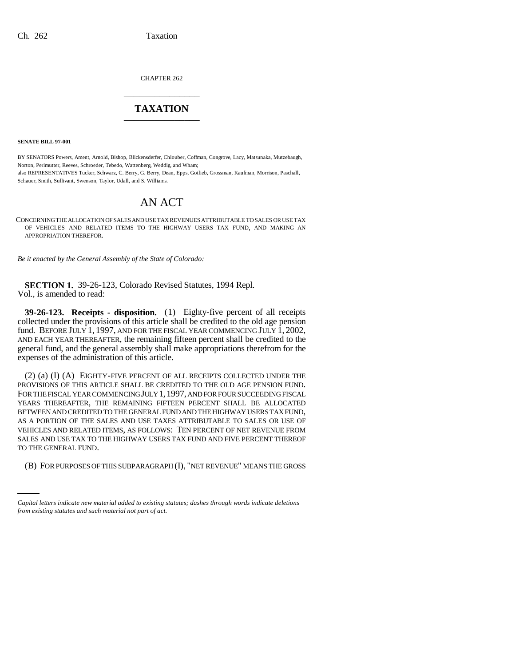CHAPTER 262 \_\_\_\_\_\_\_\_\_\_\_\_\_\_\_

# **TAXATION** \_\_\_\_\_\_\_\_\_\_\_\_\_\_\_

**SENATE BILL 97-001**

BY SENATORS Powers, Ament, Arnold, Bishop, Blickensderfer, Chlouber, Coffman, Congrove, Lacy, Matsunaka, Mutzebaugh, Norton, Perlmutter, Reeves, Schroeder, Tebedo, Wattenberg, Weddig, and Wham; also REPRESENTATIVES Tucker, Schwarz, C. Berry, G. Berry, Dean, Epps, Gotlieb, Grossman, Kaufman, Morrison, Paschall, Schauer, Smith, Sullivant, Swenson, Taylor, Udall, and S. Williams.

# AN ACT

CONCERNING THE ALLOCATION OF SALES AND USE TAX REVENUES ATTRIBUTABLE TO SALES OR USE TAX OF VEHICLES AND RELATED ITEMS TO THE HIGHWAY USERS TAX FUND, AND MAKING AN APPROPRIATION THEREFOR.

*Be it enacted by the General Assembly of the State of Colorado:*

**SECTION 1.** 39-26-123, Colorado Revised Statutes, 1994 Repl. Vol., is amended to read:

**39-26-123. Receipts - disposition.** (1) Eighty-five percent of all receipts collected under the provisions of this article shall be credited to the old age pension fund. BEFORE JULY 1, 1997, AND FOR THE FISCAL YEAR COMMENCING JULY 1, 2002, AND EACH YEAR THEREAFTER, the remaining fifteen percent shall be credited to the general fund, and the general assembly shall make appropriations therefrom for the expenses of the administration of this article.

TO THE GENERAL FUND. (2) (a) (I) (A) EIGHTY-FIVE PERCENT OF ALL RECEIPTS COLLECTED UNDER THE PROVISIONS OF THIS ARTICLE SHALL BE CREDITED TO THE OLD AGE PENSION FUND. FOR THE FISCAL YEAR COMMENCING JULY 1, 1997, AND FOR FOUR SUCCEEDING FISCAL YEARS THEREAFTER, THE REMAINING FIFTEEN PERCENT SHALL BE ALLOCATED BETWEEN AND CREDITED TO THE GENERAL FUND AND THE HIGHWAY USERS TAX FUND, AS A PORTION OF THE SALES AND USE TAXES ATTRIBUTABLE TO SALES OR USE OF VEHICLES AND RELATED ITEMS, AS FOLLOWS: TEN PERCENT OF NET REVENUE FROM SALES AND USE TAX TO THE HIGHWAY USERS TAX FUND AND FIVE PERCENT THEREOF

(B) FOR PURPOSES OF THIS SUBPARAGRAPH (I), "NET REVENUE" MEANS THE GROSS

*Capital letters indicate new material added to existing statutes; dashes through words indicate deletions from existing statutes and such material not part of act.*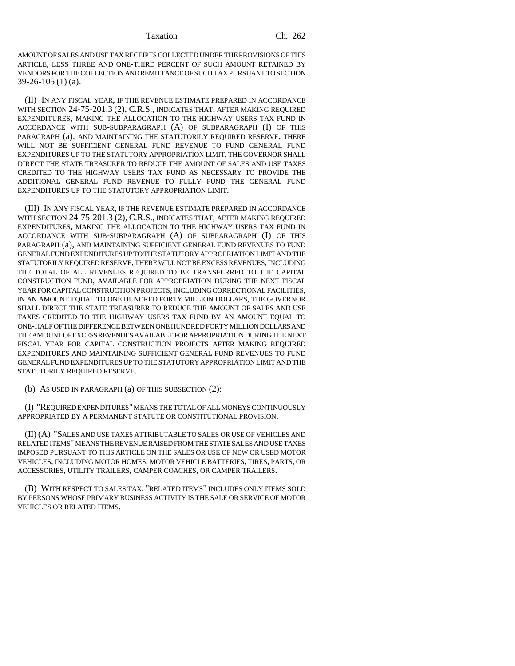### Taxation Ch. 262

AMOUNT OF SALES AND USE TAX RECEIPTS COLLECTED UNDER THE PROVISIONS OF THIS ARTICLE, LESS THREE AND ONE-THIRD PERCENT OF SUCH AMOUNT RETAINED BY VENDORS FOR THE COLLECTION AND REMITTANCE OF SUCH TAX PURSUANT TO SECTION 39-26-105 (1) (a).

(II) IN ANY FISCAL YEAR, IF THE REVENUE ESTIMATE PREPARED IN ACCORDANCE WITH SECTION 24-75-201.3 (2), C.R.S., INDICATES THAT, AFTER MAKING REQUIRED EXPENDITURES, MAKING THE ALLOCATION TO THE HIGHWAY USERS TAX FUND IN ACCORDANCE WITH SUB-SUBPARAGRAPH (A) OF SUBPARAGRAPH (I) OF THIS PARAGRAPH (a), AND MAINTAINING THE STATUTORILY REQUIRED RESERVE, THERE WILL NOT BE SUFFICIENT GENERAL FUND REVENUE TO FUND GENERAL FUND EXPENDITURES UP TO THE STATUTORY APPROPRIATION LIMIT, THE GOVERNOR SHALL DIRECT THE STATE TREASURER TO REDUCE THE AMOUNT OF SALES AND USE TAXES CREDITED TO THE HIGHWAY USERS TAX FUND AS NECESSARY TO PROVIDE THE ADDITIONAL GENERAL FUND REVENUE TO FULLY FUND THE GENERAL FUND EXPENDITURES UP TO THE STATUTORY APPROPRIATION LIMIT.

(III) IN ANY FISCAL YEAR, IF THE REVENUE ESTIMATE PREPARED IN ACCORDANCE WITH SECTION 24-75-201.3 (2), C.R.S., INDICATES THAT, AFTER MAKING REQUIRED EXPENDITURES, MAKING THE ALLOCATION TO THE HIGHWAY USERS TAX FUND IN ACCORDANCE WITH SUB-SUBPARAGRAPH (A) OF SUBPARAGRAPH (I) OF THIS PARAGRAPH (a), AND MAINTAINING SUFFICIENT GENERAL FUND REVENUES TO FUND GENERAL FUND EXPENDITURES UP TO THE STATUTORY APPROPRIATION LIMIT AND THE STATUTORILY REQUIRED RESERVE, THERE WILL NOT BE EXCESS REVENUES, INCLUDING THE TOTAL OF ALL REVENUES REQUIRED TO BE TRANSFERRED TO THE CAPITAL CONSTRUCTION FUND, AVAILABLE FOR APPROPRIATION DURING THE NEXT FISCAL YEAR FOR CAPITAL CONSTRUCTION PROJECTS, INCLUDING CORRECTIONAL FACILITIES, IN AN AMOUNT EQUAL TO ONE HUNDRED FORTY MILLION DOLLARS, THE GOVERNOR SHALL DIRECT THE STATE TREASURER TO REDUCE THE AMOUNT OF SALES AND USE TAXES CREDITED TO THE HIGHWAY USERS TAX FUND BY AN AMOUNT EQUAL TO ONE-HALF OF THE DIFFERENCE BETWEEN ONE HUNDRED FORTY MILLION DOLLARS AND THE AMOUNT OF EXCESS REVENUES AVAILABLE FOR APPROPRIATION DURING THE NEXT FISCAL YEAR FOR CAPITAL CONSTRUCTION PROJECTS AFTER MAKING REQUIRED EXPENDITURES AND MAINTAINING SUFFICIENT GENERAL FUND REVENUES TO FUND GENERAL FUND EXPENDITURES UP TO THE STATUTORY APPROPRIATION LIMIT AND THE STATUTORILY REQUIRED RESERVE.

(b) AS USED IN PARAGRAPH (a) OF THIS SUBSECTION (2):

(I) "REQUIRED EXPENDITURES" MEANS THE TOTAL OF ALL MONEYS CONTINUOUSLY APPROPRIATED BY A PERMANENT STATUTE OR CONSTITUTIONAL PROVISION.

(II) (A) "SALES AND USE TAXES ATTRIBUTABLE TO SALES OR USE OF VEHICLES AND RELATED ITEMS" MEANS THE REVENUE RAISED FROM THE STATE SALES AND USE TAXES IMPOSED PURSUANT TO THIS ARTICLE ON THE SALES OR USE OF NEW OR USED MOTOR VEHICLES, INCLUDING MOTOR HOMES, MOTOR VEHICLE BATTERIES, TIRES, PARTS, OR ACCESSORIES, UTILITY TRAILERS, CAMPER COACHES, OR CAMPER TRAILERS.

(B) WITH RESPECT TO SALES TAX, "RELATED ITEMS" INCLUDES ONLY ITEMS SOLD BY PERSONS WHOSE PRIMARY BUSINESS ACTIVITY IS THE SALE OR SERVICE OF MOTOR VEHICLES OR RELATED ITEMS.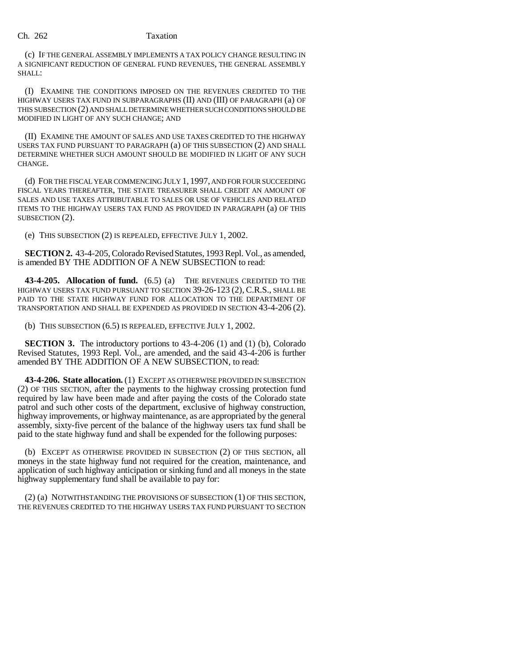### Ch. 262 Taxation

(c) IF THE GENERAL ASSEMBLY IMPLEMENTS A TAX POLICY CHANGE RESULTING IN A SIGNIFICANT REDUCTION OF GENERAL FUND REVENUES, THE GENERAL ASSEMBLY SHALL:

(I) EXAMINE THE CONDITIONS IMPOSED ON THE REVENUES CREDITED TO THE HIGHWAY USERS TAX FUND IN SUBPARAGRAPHS (II) AND (III) OF PARAGRAPH (a) OF THIS SUBSECTION (2) AND SHALL DETERMINE WHETHER SUCH CONDITIONS SHOULD BE MODIFIED IN LIGHT OF ANY SUCH CHANGE; AND

(II) EXAMINE THE AMOUNT OF SALES AND USE TAXES CREDITED TO THE HIGHWAY USERS TAX FUND PURSUANT TO PARAGRAPH (a) OF THIS SUBSECTION (2) AND SHALL DETERMINE WHETHER SUCH AMOUNT SHOULD BE MODIFIED IN LIGHT OF ANY SUCH CHANGE.

(d) FOR THE FISCAL YEAR COMMENCING JULY 1, 1997, AND FOR FOUR SUCCEEDING FISCAL YEARS THEREAFTER, THE STATE TREASURER SHALL CREDIT AN AMOUNT OF SALES AND USE TAXES ATTRIBUTABLE TO SALES OR USE OF VEHICLES AND RELATED ITEMS TO THE HIGHWAY USERS TAX FUND AS PROVIDED IN PARAGRAPH (a) OF THIS SUBSECTION (2).

(e) THIS SUBSECTION (2) IS REPEALED, EFFECTIVE JULY 1, 2002.

**SECTION 2.** 43-4-205, Colorado Revised Statutes, 1993 Repl. Vol., as amended, is amended BY THE ADDITION OF A NEW SUBSECTION to read:

**43-4-205. Allocation of fund.** (6.5) (a) THE REVENUES CREDITED TO THE HIGHWAY USERS TAX FUND PURSUANT TO SECTION 39-26-123 (2), C.R.S., SHALL BE PAID TO THE STATE HIGHWAY FUND FOR ALLOCATION TO THE DEPARTMENT OF TRANSPORTATION AND SHALL BE EXPENDED AS PROVIDED IN SECTION 43-4-206 (2).

(b) THIS SUBSECTION (6.5) IS REPEALED, EFFECTIVE JULY 1, 2002.

**SECTION 3.** The introductory portions to 43-4-206 (1) and (1) (b), Colorado Revised Statutes, 1993 Repl. Vol., are amended, and the said 43-4-206 is further amended BY THE ADDITION OF A NEW SUBSECTION, to read:

**43-4-206. State allocation.** (1) EXCEPT AS OTHERWISE PROVIDED IN SUBSECTION (2) OF THIS SECTION, after the payments to the highway crossing protection fund required by law have been made and after paying the costs of the Colorado state patrol and such other costs of the department, exclusive of highway construction, highway improvements, or highway maintenance, as are appropriated by the general assembly, sixty-five percent of the balance of the highway users tax fund shall be paid to the state highway fund and shall be expended for the following purposes:

(b) EXCEPT AS OTHERWISE PROVIDED IN SUBSECTION (2) OF THIS SECTION, all moneys in the state highway fund not required for the creation, maintenance, and application of such highway anticipation or sinking fund and all moneys in the state highway supplementary fund shall be available to pay for:

(2) (a) NOTWITHSTANDING THE PROVISIONS OF SUBSECTION (1) OF THIS SECTION, THE REVENUES CREDITED TO THE HIGHWAY USERS TAX FUND PURSUANT TO SECTION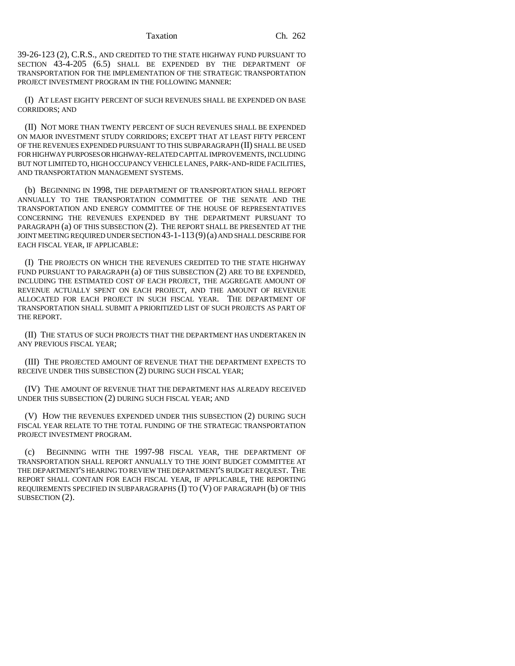39-26-123 (2), C.R.S., AND CREDITED TO THE STATE HIGHWAY FUND PURSUANT TO SECTION 43-4-205 (6.5) SHALL BE EXPENDED BY THE DEPARTMENT OF TRANSPORTATION FOR THE IMPLEMENTATION OF THE STRATEGIC TRANSPORTATION PROJECT INVESTMENT PROGRAM IN THE FOLLOWING MANNER:

(I) AT LEAST EIGHTY PERCENT OF SUCH REVENUES SHALL BE EXPENDED ON BASE CORRIDORS; AND

(II) NOT MORE THAN TWENTY PERCENT OF SUCH REVENUES SHALL BE EXPENDED ON MAJOR INVESTMENT STUDY CORRIDORS; EXCEPT THAT AT LEAST FIFTY PERCENT OF THE REVENUES EXPENDED PURSUANT TO THIS SUBPARAGRAPH (II) SHALL BE USED FOR HIGHWAY PURPOSES OR HIGHWAY-RELATED CAPITAL IMPROVEMENTS, INCLUDING BUT NOT LIMITED TO, HIGH OCCUPANCY VEHICLE LANES, PARK-AND-RIDE FACILITIES, AND TRANSPORTATION MANAGEMENT SYSTEMS.

(b) BEGINNING IN 1998, THE DEPARTMENT OF TRANSPORTATION SHALL REPORT ANNUALLY TO THE TRANSPORTATION COMMITTEE OF THE SENATE AND THE TRANSPORTATION AND ENERGY COMMITTEE OF THE HOUSE OF REPRESENTATIVES CONCERNING THE REVENUES EXPENDED BY THE DEPARTMENT PURSUANT TO PARAGRAPH (a) OF THIS SUBSECTION (2). THE REPORT SHALL BE PRESENTED AT THE JOINT MEETING REQUIRED UNDER SECTION 43-1-113(9)(a) AND SHALL DESCRIBE FOR EACH FISCAL YEAR, IF APPLICABLE:

(I) THE PROJECTS ON WHICH THE REVENUES CREDITED TO THE STATE HIGHWAY FUND PURSUANT TO PARAGRAPH (a) OF THIS SUBSECTION (2) ARE TO BE EXPENDED, INCLUDING THE ESTIMATED COST OF EACH PROJECT, THE AGGREGATE AMOUNT OF REVENUE ACTUALLY SPENT ON EACH PROJECT, AND THE AMOUNT OF REVENUE ALLOCATED FOR EACH PROJECT IN SUCH FISCAL YEAR. THE DEPARTMENT OF TRANSPORTATION SHALL SUBMIT A PRIORITIZED LIST OF SUCH PROJECTS AS PART OF THE REPORT.

(II) THE STATUS OF SUCH PROJECTS THAT THE DEPARTMENT HAS UNDERTAKEN IN ANY PREVIOUS FISCAL YEAR;

(III) THE PROJECTED AMOUNT OF REVENUE THAT THE DEPARTMENT EXPECTS TO RECEIVE UNDER THIS SUBSECTION (2) DURING SUCH FISCAL YEAR;

(IV) THE AMOUNT OF REVENUE THAT THE DEPARTMENT HAS ALREADY RECEIVED UNDER THIS SUBSECTION (2) DURING SUCH FISCAL YEAR; AND

(V) HOW THE REVENUES EXPENDED UNDER THIS SUBSECTION (2) DURING SUCH FISCAL YEAR RELATE TO THE TOTAL FUNDING OF THE STRATEGIC TRANSPORTATION PROJECT INVESTMENT PROGRAM.

(c) BEGINNING WITH THE 1997-98 FISCAL YEAR, THE DEPARTMENT OF TRANSPORTATION SHALL REPORT ANNUALLY TO THE JOINT BUDGET COMMITTEE AT THE DEPARTMENT'S HEARING TO REVIEW THE DEPARTMENT'S BUDGET REQUEST. THE REPORT SHALL CONTAIN FOR EACH FISCAL YEAR, IF APPLICABLE, THE REPORTING REQUIREMENTS SPECIFIED IN SUBPARAGRAPHS (I) TO (V) OF PARAGRAPH (b) OF THIS SUBSECTION (2).